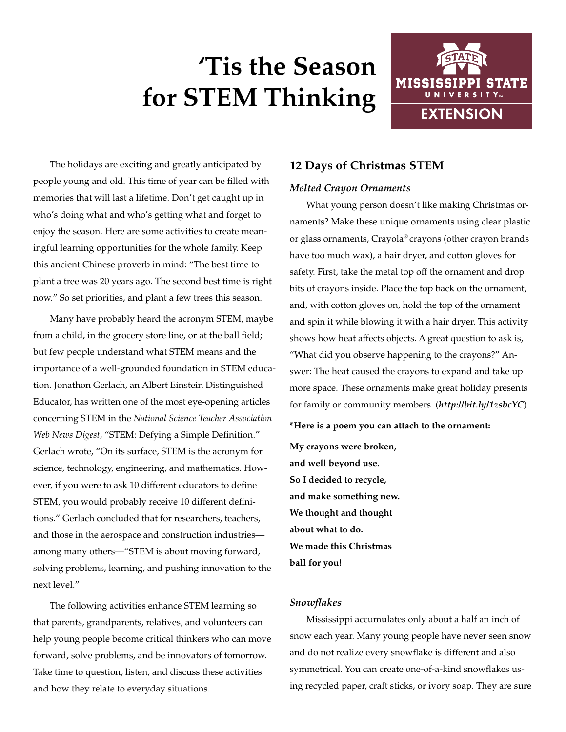# **'Tis the Season for STEM Thinking**



The holidays are exciting and greatly anticipated by people young and old. This time of year can be filled with memories that will last a lifetime. Don't get caught up in who's doing what and who's getting what and forget to enjoy the season. Here are some activities to create meaningful learning opportunities for the whole family. Keep this ancient Chinese proverb in mind: "The best time to plant a tree was 20 years ago. The second best time is right now." So set priorities, and plant a few trees this season.

Many have probably heard the acronym STEM, maybe from a child, in the grocery store line, or at the ball field; but few people understand what STEM means and the importance of a well-grounded foundation in STEM education. Jonathon Gerlach, an Albert Einstein Distinguished Educator, has written one of the most eye-opening articles concerning STEM in the *National Science Teacher Association Web News Digest*, "STEM: Defying a Simple Definition." Gerlach wrote, "On its surface, STEM is the acronym for science, technology, engineering, and mathematics. However, if you were to ask 10 different educators to define STEM, you would probably receive 10 different definitions." Gerlach concluded that for researchers, teachers, and those in the aerospace and construction industries among many others—"STEM is about moving forward, solving problems, learning, and pushing innovation to the next level."

The following activities enhance STEM learning so that parents, grandparents, relatives, and volunteers can help young people become critical thinkers who can move forward, solve problems, and be innovators of tomorrow. Take time to question, listen, and discuss these activities and how they relate to everyday situations.

## **12 Days of Christmas STEM**

## *Melted Crayon Ornaments*

What young person doesn't like making Christmas ornaments? Make these unique ornaments using clear plastic or glass ornaments, Crayola® crayons (other crayon brands have too much wax), a hair dryer, and cotton gloves for safety. First, take the metal top off the ornament and drop bits of crayons inside. Place the top back on the ornament, and, with cotton gloves on, hold the top of the ornament and spin it while blowing it with a hair dryer. This activity shows how heat affects objects. A great question to ask is, "What did you observe happening to the crayons?" Answer: The heat caused the crayons to expand and take up more space. These ornaments make great holiday presents for family or community members. (*<http://bit.ly/1zsbcYC>*)

**\*Here is a poem you can attach to the ornament:** 

**My crayons were broken, and well beyond use. So I decided to recycle, and make something new. We thought and thought about what to do. We made this Christmas ball for you!**

## *Snowflakes*

Mississippi accumulates only about a half an inch of snow each year. Many young people have never seen snow and do not realize every snowflake is different and also symmetrical. You can create one-of-a-kind snowflakes using recycled paper, craft sticks, or ivory soap. They are sure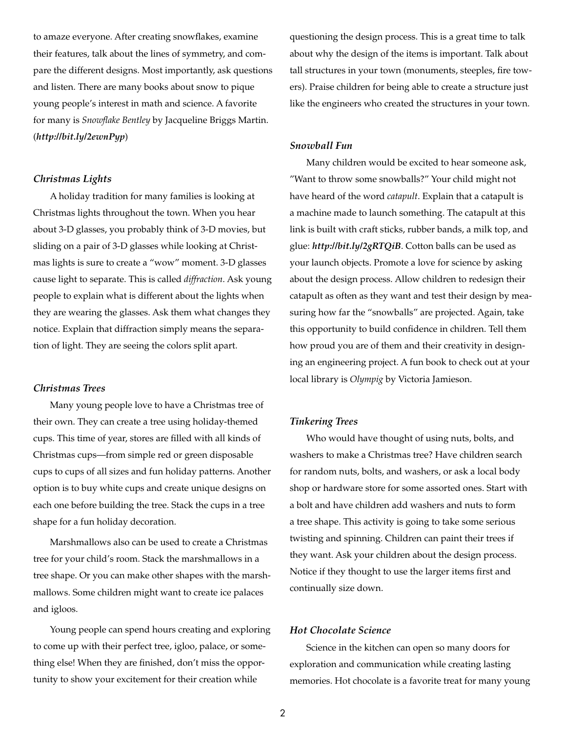to amaze everyone. After creating snowflakes, examine their features, talk about the lines of symmetry, and compare the different designs. Most importantly, ask questions and listen. There are many books about snow to pique young people's interest in math and science. A favorite for many is *Snowflake Bentley* by Jacqueline Briggs Martin. (*<http://bit.ly/2ewnPyp>*)

## *Christmas Lights*

A holiday tradition for many families is looking at Christmas lights throughout the town. When you hear about 3-D glasses, you probably think of 3-D movies, but sliding on a pair of 3-D glasses while looking at Christmas lights is sure to create a "wow" moment. 3-D glasses cause light to separate. This is called *diffraction*. Ask young people to explain what is different about the lights when they are wearing the glasses. Ask them what changes they notice. Explain that diffraction simply means the separation of light. They are seeing the colors split apart.

### *Christmas Trees*

Many young people love to have a Christmas tree of their own. They can create a tree using holiday-themed cups. This time of year, stores are filled with all kinds of Christmas cups—from simple red or green disposable cups to cups of all sizes and fun holiday patterns. Another option is to buy white cups and create unique designs on each one before building the tree. Stack the cups in a tree shape for a fun holiday decoration.

Marshmallows also can be used to create a Christmas tree for your child's room. Stack the marshmallows in a tree shape. Or you can make other shapes with the marshmallows. Some children might want to create ice palaces and igloos.

Young people can spend hours creating and exploring to come up with their perfect tree, igloo, palace, or something else! When they are finished, don't miss the opportunity to show your excitement for their creation while

questioning the design process. This is a great time to talk about why the design of the items is important. Talk about tall structures in your town (monuments, steeples, fire towers). Praise children for being able to create a structure just like the engineers who created the structures in your town.

### *Snowball Fun*

Many children would be excited to hear someone ask, "Want to throw some snowballs?" Your child might not have heard of the word *catapult*. Explain that a catapult is a machine made to launch something. The catapult at this link is built with craft sticks, rubber bands, a milk top, and glue: *http://bit.ly/2gRTQiB*. Cotton balls can be used as your launch objects. Promote a love for science by asking about the design process. Allow children to redesign their catapult as often as they want and test their design by measuring how far the "snowballs" are projected. Again, take this opportunity to build confidence in children. Tell them how proud you are of them and their creativity in designing an engineering project. A fun book to check out at your local library is *Olympig* by Victoria Jamieson.

#### *Tinkering Trees*

Who would have thought of using nuts, bolts, and washers to make a Christmas tree? Have children search for random nuts, bolts, and washers, or ask a local body shop or hardware store for some assorted ones. Start with a bolt and have children add washers and nuts to form a tree shape. This activity is going to take some serious twisting and spinning. Children can paint their trees if they want. Ask your children about the design process. Notice if they thought to use the larger items first and continually size down.

## *Hot Chocolate Science*

Science in the kitchen can open so many doors for exploration and communication while creating lasting memories. Hot chocolate is a favorite treat for many young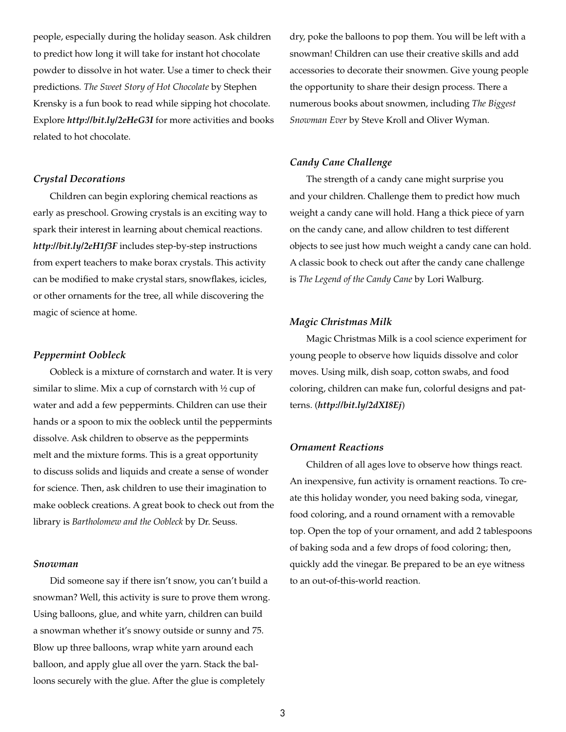people, especially during the holiday season. Ask children to predict how long it will take for instant hot chocolate powder to dissolve in hot water. Use a timer to check their predictions*. The Sweet Story of Hot Chocolate* by Stephen Krensky is a fun book to read while sipping hot chocolate. Explore *<http://bit.ly/2eHeG3I>* for more activities and books related to hot chocolate.

#### *Crystal Decorations*

Children can begin exploring chemical reactions as early as preschool. Growing crystals is an exciting way to spark their interest in learning about chemical reactions. *<http://bit.ly/2eH1f3F>* includes step-by-step instructions from expert teachers to make borax crystals. This activity can be modified to make crystal stars, snowflakes, icicles, or other ornaments for the tree, all while discovering the magic of science at home.

#### *Peppermint Oobleck*

Oobleck is a mixture of cornstarch and water. It is very similar to slime. Mix a cup of cornstarch with ½ cup of water and add a few peppermints. Children can use their hands or a spoon to mix the oobleck until the peppermints dissolve. Ask children to observe as the peppermints melt and the mixture forms. This is a great opportunity to discuss solids and liquids and create a sense of wonder for science. Then, ask children to use their imagination to make oobleck creations. A great book to check out from the library is *Bartholomew and the Oobleck* by Dr. Seuss.

#### *Snowman*

Did someone say if there isn't snow, you can't build a snowman? Well, this activity is sure to prove them wrong. Using balloons, glue, and white yarn, children can build a snowman whether it's snowy outside or sunny and 75. Blow up three balloons, wrap white yarn around each balloon, and apply glue all over the yarn. Stack the balloons securely with the glue. After the glue is completely

dry, poke the balloons to pop them. You will be left with a snowman! Children can use their creative skills and add accessories to decorate their snowmen. Give young people the opportunity to share their design process. There a numerous books about snowmen, including *The Biggest Snowman Ever* by Steve Kroll and Oliver Wyman.

## *Candy Cane Challenge*

The strength of a candy cane might surprise you and your children. Challenge them to predict how much weight a candy cane will hold. Hang a thick piece of yarn on the candy cane, and allow children to test different objects to see just how much weight a candy cane can hold. A classic book to check out after the candy cane challenge is *The Legend of the Candy Cane* by Lori Walburg.

#### *Magic Christmas Milk*

Magic Christmas Milk is a cool science experiment for young people to observe how liquids dissolve and color moves. Using milk, dish soap, cotton swabs, and food coloring, children can make fun, colorful designs and patterns. (*<http://bit.ly/2dXI8Ej>*)

## *Ornament Reactions*

Children of all ages love to observe how things react. An inexpensive, fun activity is ornament reactions. To create this holiday wonder, you need baking soda, vinegar, food coloring, and a round ornament with a removable top. Open the top of your ornament, and add 2 tablespoons of baking soda and a few drops of food coloring; then, quickly add the vinegar. Be prepared to be an eye witness to an out-of-this-world reaction.